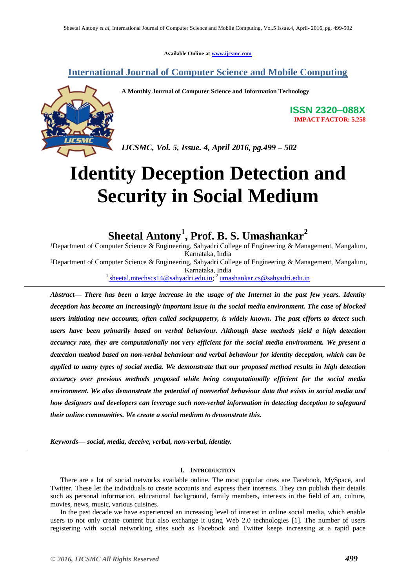**Available Online at [www.ijcsmc.com](http://www.ijcsmc.com/)**

# **International Journal of Computer Science and Mobile Computing**

**A Monthly Journal of Computer Science and Information Technology**

**ISSN 2320–088X IMPACT FACTOR: 5.258**

*IJCSMC, Vol. 5, Issue. 4, April 2016, pg.499 – 502*

# **Identity Deception Detection and Security in Social Medium**

**Sheetal Antony<sup>1</sup> , Prof. B. S. Umashankar<sup>2</sup>**

<sup>1</sup>Department of Computer Science & Engineering, Sahyadri College of Engineering & Management, Mangaluru, Karnataka, India

²Department of Computer Science & Engineering, Sahyadri College of Engineering & Management, Mangaluru, Karnataka, India

<sup>1</sup> [sheetal.mtechscs14@sahyadri.edu.in;](mailto:sheetal.mtechscs14@sahyadri.edu.in) <sup>2</sup> [umashankar.cs@sahyadri.edu.in](mailto:umashankar.cs@sahyadri.edu.in)

*Abstract— There has been a large increase in the usage of the Internet in the past few years. Identity deception has become an increasingly important issue in the social media environment. The case of blocked users initiating new accounts, often called sockpuppetry, is widely known. The past efforts to detect such users have been primarily based on verbal behaviour. Although these methods yield a high detection accuracy rate, they are computationally not very efficient for the social media environment. We present a detection method based on non-verbal behaviour and verbal behaviour for identity deception, which can be applied to many types of social media. We demonstrate that our proposed method results in high detection accuracy over previous methods proposed while being computationally efficient for the social media environment. We also demonstrate the potential of nonverbal behaviour data that exists in social media and how designers and developers can leverage such non-verbal information in detecting deception to safeguard their online communities. We create a social medium to demonstrate this.*

*Keywords— social, media, deceive, verbal, non-verbal, identity.*

# **I. INTRODUCTION**

There are a lot of social networks available online. The most popular ones are Facebook, MySpace, and Twitter. These let the individuals to create accounts and express their interests. They can publish their details such as personal information, educational background, family members, interests in the field of art, culture, movies, news, music, various cuisines.

In the past decade we have experienced an increasing level of interest in online social media, which enable users to not only create content but also exchange it using Web 2.0 technologies [1]. The number of users registering with social networking sites such as Facebook and Twitter keeps increasing at a rapid pace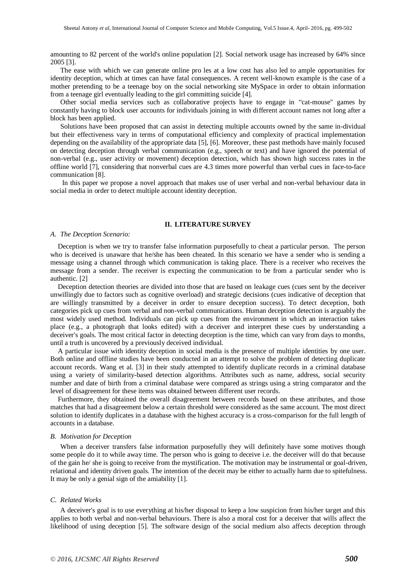amounting to 82 percent of the world's online population [2]. Social network usage has increased by 64% since 2005 [3].

The ease with which we can generate online pro les at a low cost has also led to ample opportunities for identity deception, which at times can have fatal consequences. A recent well-known example is the case of a mother pretending to be a teenage boy on the social networking site MySpace in order to obtain information from a teenage girl eventually leading to the girl committing suicide [4].

Other social media services such as collaborative projects have to engage in "cat-mouse" games by constantly having to block user accounts for individuals joining in with different account names not long after a block has been applied.

Solutions have been proposed that can assist in detecting multiple accounts owned by the same in-dividual but their effectiveness vary in terms of computational efficiency and complexity of practical implementation depending on the availability of the appropriate data [5], [6]. Moreover, these past methods have mainly focused on detecting deception through verbal communication (e.g., speech or text) and have ignored the potential of non-verbal (e.g., user activity or movement) deception detection, which has shown high success rates in the offline world [7], considering that nonverbal cues are 4.3 times more powerful than verbal cues in face-to-face communication [8].

In this paper we propose a novel approach that makes use of user verbal and non-verbal behaviour data in social media in order to detect multiple account identity deception.

# **II. LITERATURE SURVEY**

#### *A. The Deception Scenario:*

Deception is when we try to transfer false information purposefully to cheat a particular person. The person who is deceived is unaware that he/she has been cheated. In this scenario we have a sender who is sending a message using a channel through which communication is taking place. There is a receiver who receives the message from a sender. The receiver is expecting the communication to be from a particular sender who is authentic. [2]

Deception detection theories are divided into those that are based on leakage cues (cues sent by the deceiver unwillingly due to factors such as cognitive overload) and strategic decisions (cues indicative of deception that are willingly transmitted by a deceiver in order to ensure deception success). To detect deception, both categories pick up cues from verbal and non-verbal communications. Human deception detection is arguably the most widely used method. Individuals can pick up cues from the environment in which an interaction takes place (e.g., a photograph that looks edited) with a deceiver and interpret these cues by understanding a deceiver's goals. The most critical factor in detecting deception is the time, which can vary from days to months, until a truth is uncovered by a previously deceived individual.

A particular issue with identity deception in social media is the presence of multiple identities by one user. Both online and offline studies have been conducted in an attempt to solve the problem of detecting duplicate account records. Wang et al. [3] in their study attempted to identify duplicate records in a criminal database using a variety of similarity-based detection algorithms. Attributes such as name, address, social security number and date of birth from a criminal database were compared as strings using a string comparator and the level of disagreement for these items was obtained between different user records.

Furthermore, they obtained the overall disagreement between records based on these attributes, and those matches that had a disagreement below a certain threshold were considered as the same account. The most direct solution to identify duplicates in a database with the highest accuracy is a cross-comparison for the full length of accounts in a database.

#### *B. Motivation for Deception*

When a deceiver transfers false information purposefully they will definitely have some motives though some people do it to while away time. The person who is going to deceive i.e. the deceiver will do that because of the gain he/ she is going to receive from the mystification. The motivation may be instrumental or goal-driven, relational and identity driven goals. The intention of the deceit may be either to actually harm due to spitefulness. It may be only a genial sign of the amiability [1].

# *C. Related Works*

A deceiver's goal is to use everything at his/her disposal to keep a low suspicion from his/her target and this applies to both verbal and non-verbal behaviours. There is also a moral cost for a deceiver that wills affect the likelihood of using deception [5]. The software design of the social medium also affects deception through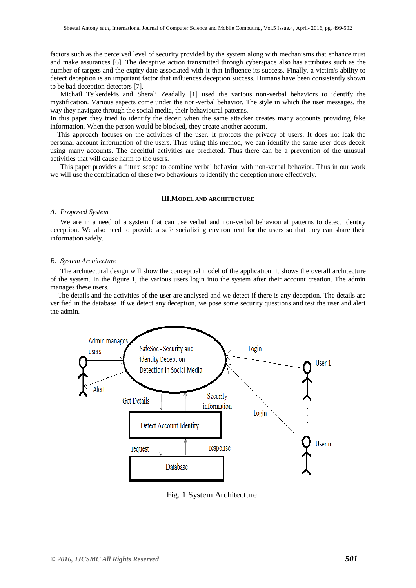factors such as the perceived level of security provided by the system along with mechanisms that enhance trust and make assurances [6]. The deceptive action transmitted through cyberspace also has attributes such as the number of targets and the expiry date associated with it that influence its success. Finally, a victim's ability to detect deception is an important factor that influences deception success. Humans have been consistently shown to be bad deception detectors [7].

Michail Tsikerdekis and Sherali Zeadally [1] used the various non-verbal behaviors to identify the mystification. Various aspects come under the non-verbal behavior. The style in which the user messages, the way they navigate through the social media, their behavioural patterns.

In this paper they tried to identify the deceit when the same attacker creates many accounts providing fake information. When the person would be blocked, they create another account.

 This approach focuses on the activities of the user. It protects the privacy of users. It does not leak the personal account information of the users. Thus using this method, we can identify the same user does deceit using many accounts. The deceitful activities are predicted. Thus there can be a prevention of the unusual activities that will cause harm to the users.

This paper provides a future scope to combine verbal behavior with non-verbal behavior. Thus in our work we will use the combination of these two behaviours to identify the deception more effectively.

#### **III.MODEL AND ARCHITECTURE**

#### *A. Proposed System*

We are in a need of a system that can use verbal and non-verbal behavioural patterns to detect identity deception. We also need to provide a safe socializing environment for the users so that they can share their information safely.

#### *B. System Architecture*

The architectural design will show the conceptual model of the application. It shows the overall architecture of the system. In the figure 1, the various users login into the system after their account creation. The admin manages these users.

The details and the activities of the user are analysed and we detect if there is any deception. The details are verified in the database. If we detect any deception, we pose some security questions and test the user and alert the admin.



Fig. 1 System Architecture